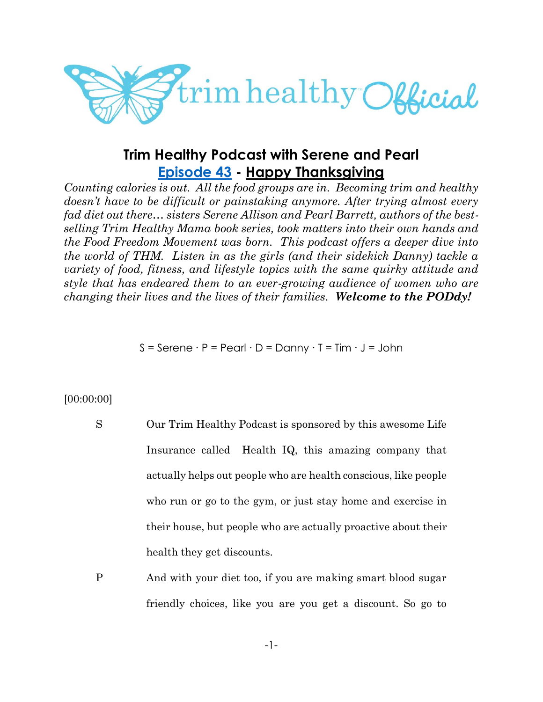

# **Trim Healthy Podcast with Serene and Pearl [Episode 43](https://cms.megaphone.fm/channel/trimhealthypodcast?selected=ADL1355892337) - Happy Thanksgiving**

*Counting calories is out. All the food groups are in. Becoming trim and healthy doesn't have to be difficult or painstaking anymore. After trying almost every fad diet out there… sisters Serene Allison and Pearl Barrett, authors of the bestselling Trim Healthy Mama book series, took matters into their own hands and the Food Freedom Movement was born. This podcast offers a deeper dive into the world of THM. Listen in as the girls (and their sidekick Danny) tackle a variety of food, fitness, and lifestyle topics with the same quirky attitude and style that has endeared them to an ever-growing audience of women who are changing their lives and the lives of their families. Welcome to the PODdy!*

 $S =$  Serene  $\cdot P =$  Pearl  $\cdot D =$  Danny  $\cdot T =$  Tim  $\cdot J =$  John

# [00:00:00]

- S Our Trim Healthy Podcast is sponsored by this awesome Life Insurance called Health IQ, this amazing company that actually helps out people who are health conscious, like people who run or go to the gym, or just stay home and exercise in their house, but people who are actually proactive about their health they get discounts.
- P And with your diet too, if you are making smart blood sugar friendly choices, like you are you get a discount. So go to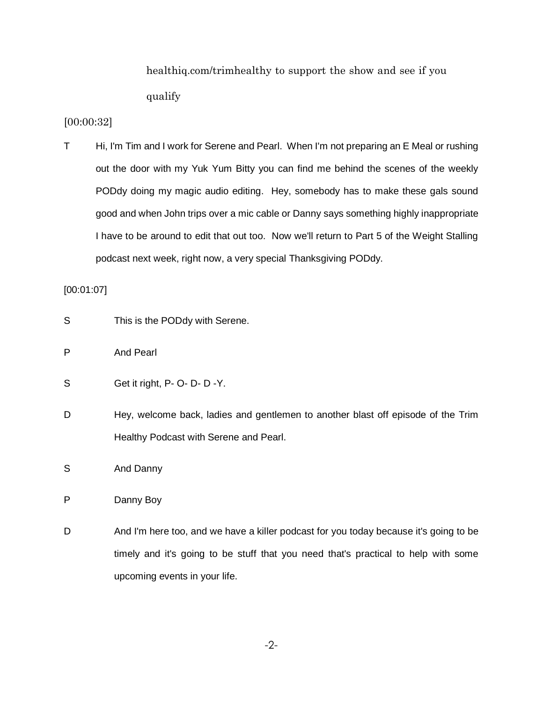healthiq.com/trimhealthy to support the show and see if you qualify

# [00:00:32]

T Hi, I'm Tim and I work for Serene and Pearl. When I'm not preparing an E Meal or rushing out the door with my Yuk Yum Bitty you can find me behind the scenes of the weekly PODdy doing my magic audio editing. Hey, somebody has to make these gals sound good and when John trips over a mic cable or Danny says something highly inappropriate I have to be around to edit that out too. Now we'll return to Part 5 of the Weight Stalling podcast next week, right now, a very special Thanksgiving PODdy.

### [00:01:07]

- S This is the PODdy with Serene.
- P And Pearl
- S Get it right, P- O- D- D-Y.
- D Hey, welcome back, ladies and gentlemen to another blast off episode of the Trim Healthy Podcast with Serene and Pearl.
- S And Danny

P Danny Boy

D And I'm here too, and we have a killer podcast for you today because it's going to be timely and it's going to be stuff that you need that's practical to help with some upcoming events in your life.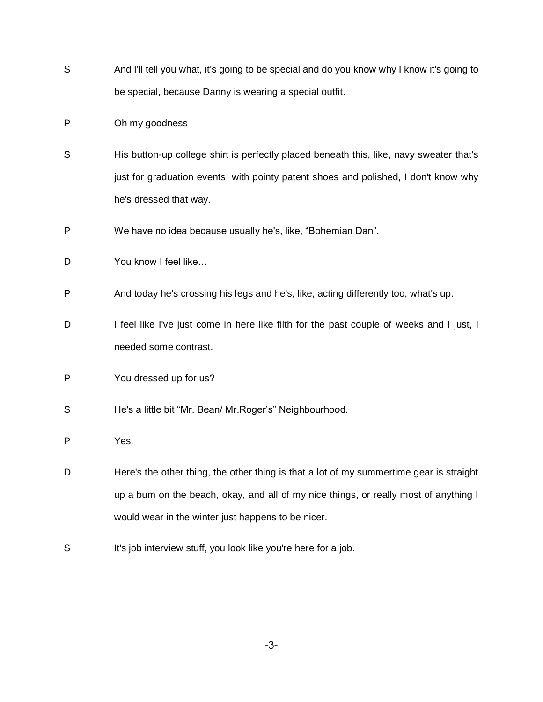- S And I'll tell you what, it's going to be special and do you know why I know it's going to be special, because Danny is wearing a special outfit.
- P Oh my goodness
- S His button-up college shirt is perfectly placed beneath this, like, navy sweater that's just for graduation events, with pointy patent shoes and polished, I don't know why he's dressed that way.
- P We have no idea because usually he's, like, "Bohemian Dan".
- D You know I feel like...
- P And today he's crossing his legs and he's, like, acting differently too, what's up.
- D I feel like I've just come in here like filth for the past couple of weeks and I just, I needed some contrast.
- P You dressed up for us?
- S He's a little bit "Mr. Bean/ Mr.Roger's" Neighbourhood.
- P Yes.
- D Here's the other thing, the other thing is that a lot of my summertime gear is straight up a bum on the beach, okay, and all of my nice things, or really most of anything I would wear in the winter just happens to be nicer.
- S It's job interview stuff, you look like you're here for a job.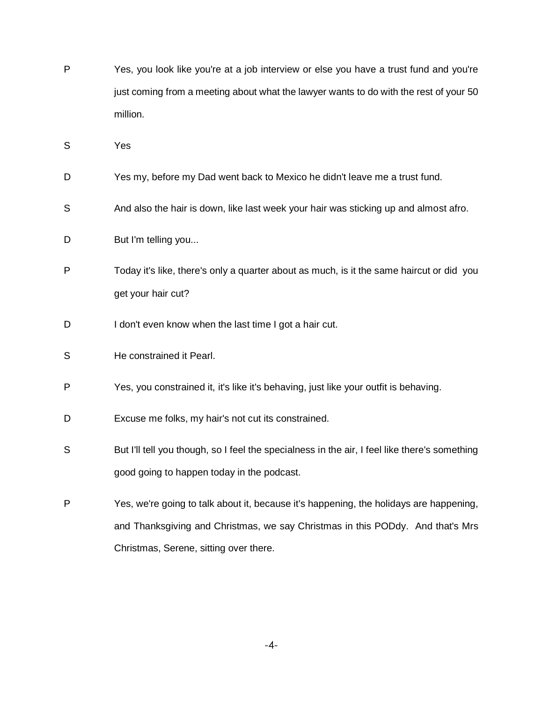- P Yes, you look like you're at a job interview or else you have a trust fund and you're just coming from a meeting about what the lawyer wants to do with the rest of your 50 million.
- S Yes
- D Yes my, before my Dad went back to Mexico he didn't leave me a trust fund.
- S And also the hair is down, like last week your hair was sticking up and almost afro.
- D But I'm telling you...
- P Today it's like, there's only a quarter about as much, is it the same haircut or did you get your hair cut?
- D I don't even know when the last time I got a hair cut.
- S He constrained it Pearl.
- P Yes, you constrained it, it's like it's behaving, just like your outfit is behaving.
- D Excuse me folks, my hair's not cut its constrained.
- S But I'll tell you though, so I feel the specialness in the air, I feel like there's something good going to happen today in the podcast.
- P Yes, we're going to talk about it, because it's happening, the holidays are happening, and Thanksgiving and Christmas, we say Christmas in this PODdy. And that's Mrs Christmas, Serene, sitting over there.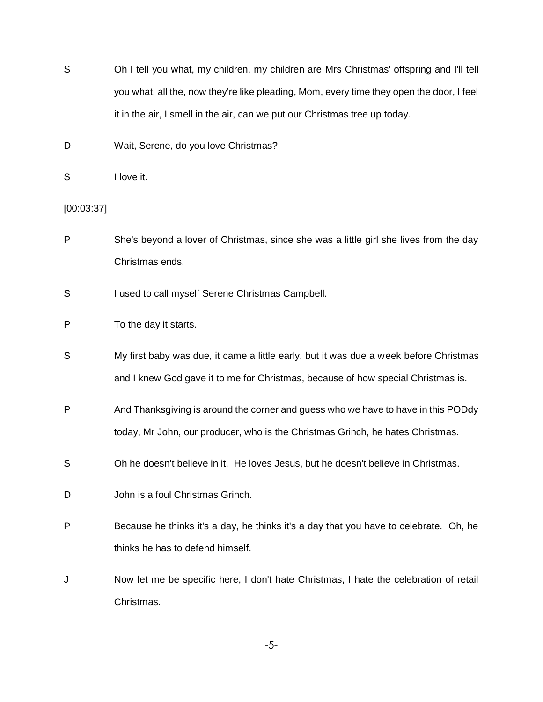- S Oh I tell you what, my children, my children are Mrs Christmas' offspring and I'll tell you what, all the, now they're like pleading, Mom, every time they open the door, I feel it in the air, I smell in the air, can we put our Christmas tree up today.
- D Wait, Serene, do you love Christmas?
- S I love it.

[00:03:37]

- P She's beyond a lover of Christmas, since she was a little girl she lives from the day Christmas ends.
- S I used to call myself Serene Christmas Campbell.
- P To the day it starts.
- S My first baby was due, it came a little early, but it was due a week before Christmas and I knew God gave it to me for Christmas, because of how special Christmas is.
- P And Thanksgiving is around the corner and guess who we have to have in this PODdy today, Mr John, our producer, who is the Christmas Grinch, he hates Christmas.
- S Oh he doesn't believe in it. He loves Jesus, but he doesn't believe in Christmas.
- D **John is a foul Christmas Grinch.**
- P Because he thinks it's a day, he thinks it's a day that you have to celebrate. Oh, he thinks he has to defend himself.
- J Now let me be specific here, I don't hate Christmas, I hate the celebration of retail Christmas.

-5-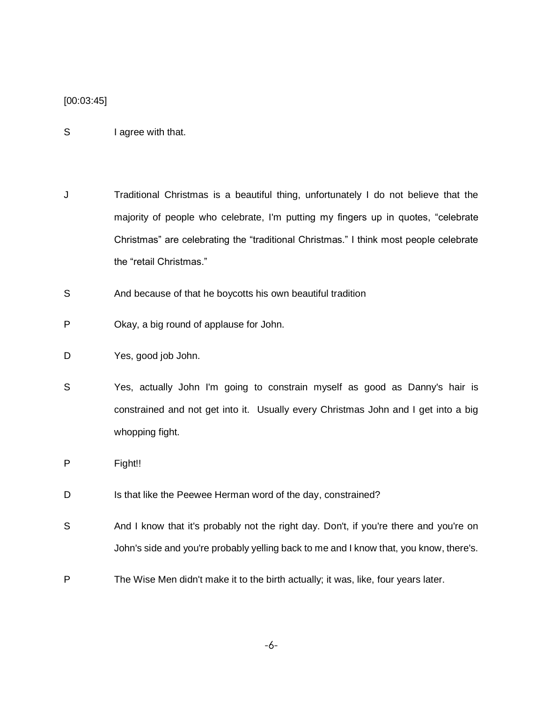#### [00:03:45]

- S I agree with that.
- J Traditional Christmas is a beautiful thing, unfortunately I do not believe that the majority of people who celebrate, I'm putting my fingers up in quotes, "celebrate Christmas" are celebrating the "traditional Christmas." I think most people celebrate the "retail Christmas."
- S And because of that he boycotts his own beautiful tradition
- P Okay, a big round of applause for John.
- D Yes, good job John.
- S Yes, actually John I'm going to constrain myself as good as Danny's hair is constrained and not get into it. Usually every Christmas John and I get into a big whopping fight.
- P Fight!!
- D Is that like the Peewee Herman word of the day, constrained?
- S And I know that it's probably not the right day. Don't, if you're there and you're on John's side and you're probably yelling back to me and I know that, you know, there's.
- P The Wise Men didn't make it to the birth actually; it was, like, four years later.

-6-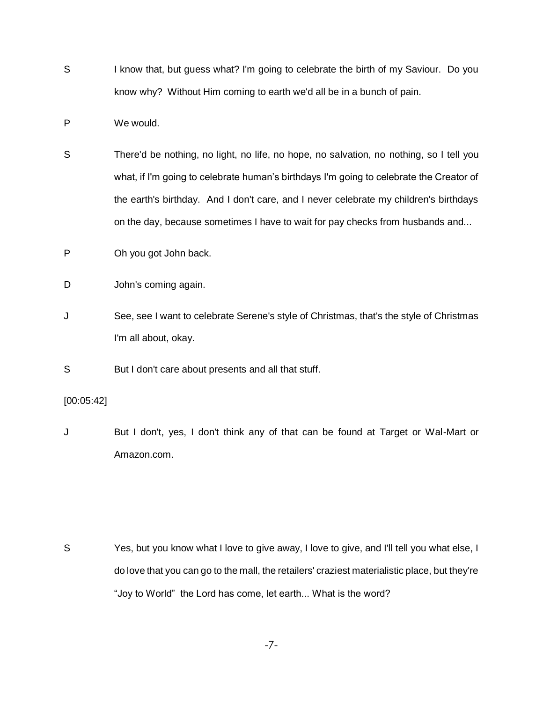- S I know that, but guess what? I'm going to celebrate the birth of my Saviour. Do you know why? Without Him coming to earth we'd all be in a bunch of pain.
- P We would.
- S There'd be nothing, no light, no life, no hope, no salvation, no nothing, so I tell you what, if I'm going to celebrate human's birthdays I'm going to celebrate the Creator of the earth's birthday. And I don't care, and I never celebrate my children's birthdays on the day, because sometimes I have to wait for pay checks from husbands and...
- P Oh you got John back.
- D John's coming again.
- J See, see I want to celebrate Serene's style of Christmas, that's the style of Christmas I'm all about, okay.
- S But I don't care about presents and all that stuff.

[00:05:42]

J But I don't, yes, I don't think any of that can be found at Target or Wal-Mart or Amazon.com.

S Yes, but you know what I love to give away, I love to give, and I'll tell you what else, I do love that you can go to the mall, the retailers' craziest materialistic place, but they're "Joy to World" the Lord has come, let earth... What is the word?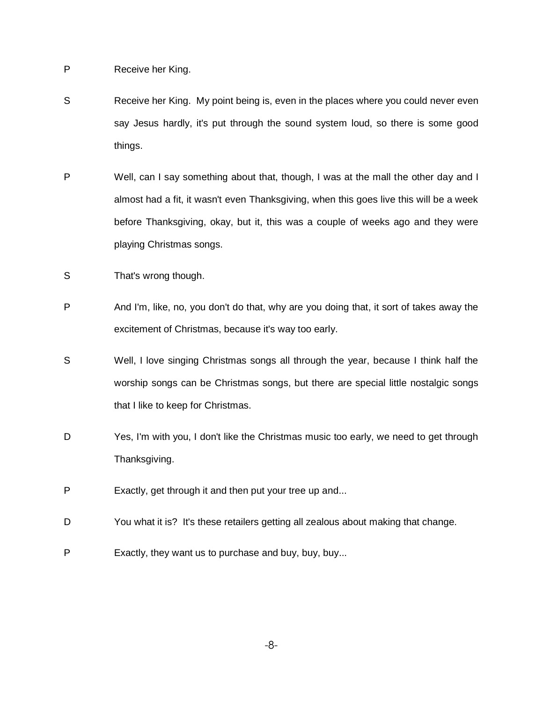P Receive her King.

- S Receive her King. My point being is, even in the places where you could never even say Jesus hardly, it's put through the sound system loud, so there is some good things.
- P Well, can I say something about that, though, I was at the mall the other day and I almost had a fit, it wasn't even Thanksgiving, when this goes live this will be a week before Thanksgiving, okay, but it, this was a couple of weeks ago and they were playing Christmas songs.
- S That's wrong though.
- P And I'm, like, no, you don't do that, why are you doing that, it sort of takes away the excitement of Christmas, because it's way too early.
- S Well, I love singing Christmas songs all through the year, because I think half the worship songs can be Christmas songs, but there are special little nostalgic songs that I like to keep for Christmas.
- D Yes, I'm with you, I don't like the Christmas music too early, we need to get through Thanksgiving.
- P Exactly, get through it and then put your tree up and...
- D You what it is? It's these retailers getting all zealous about making that change.
- P Exactly, they want us to purchase and buy, buy, buy...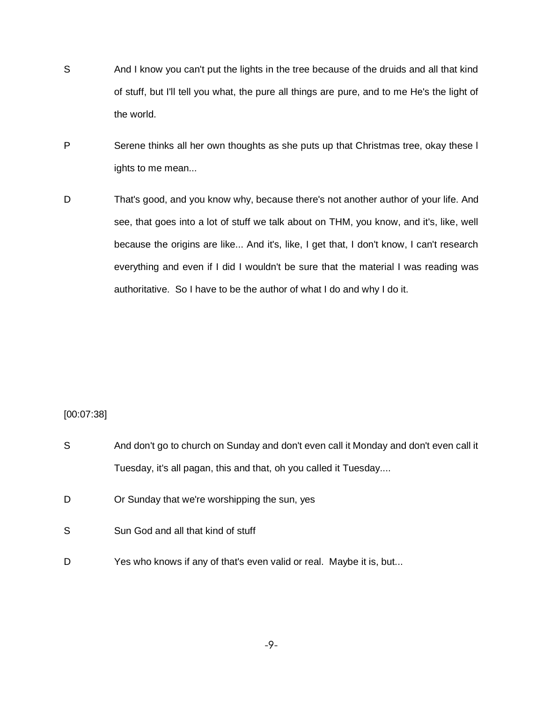- S And I know you can't put the lights in the tree because of the druids and all that kind of stuff, but I'll tell you what, the pure all things are pure, and to me He's the light of the world.
- P Serene thinks all her own thoughts as she puts up that Christmas tree, okay these I ights to me mean...
- D That's good, and you know why, because there's not another author of your life. And see, that goes into a lot of stuff we talk about on THM, you know, and it's, like, well because the origins are like... And it's, like, I get that, I don't know, I can't research everything and even if I did I wouldn't be sure that the material I was reading was authoritative. So I have to be the author of what I do and why I do it.

#### [00:07:38]

| S | And don't go to church on Sunday and don't even call it Monday and don't even call it |
|---|---------------------------------------------------------------------------------------|
|   | Tuesday, it's all pagan, this and that, oh you called it Tuesday                      |
| D | Or Sunday that we're worshipping the sun, yes                                         |
| S | Sun God and all that kind of stuff                                                    |
| D | Yes who knows if any of that's even valid or real. Maybe it is, but                   |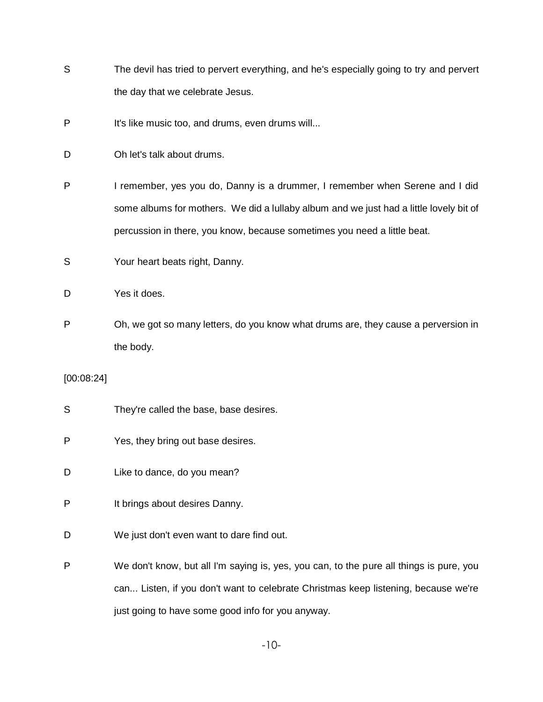- S The devil has tried to pervert everything, and he's especially going to try and pervert the day that we celebrate Jesus.
- P It's like music too, and drums, even drums will...
- D Oh let's talk about drums.
- P I remember, yes you do, Danny is a drummer, I remember when Serene and I did some albums for mothers. We did a lullaby album and we just had a little lovely bit of percussion in there, you know, because sometimes you need a little beat.
- S Your heart beats right, Danny.
- D Yes it does.
- P Oh, we got so many letters, do you know what drums are, they cause a perversion in the body.

[00:08:24]

- S They're called the base, base desires.
- P Yes, they bring out base desires.
- D Like to dance, do you mean?
- P It brings about desires Danny.
- D We just don't even want to dare find out.
- P We don't know, but all I'm saying is, yes, you can, to the pure all things is pure, you can... Listen, if you don't want to celebrate Christmas keep listening, because we're just going to have some good info for you anyway.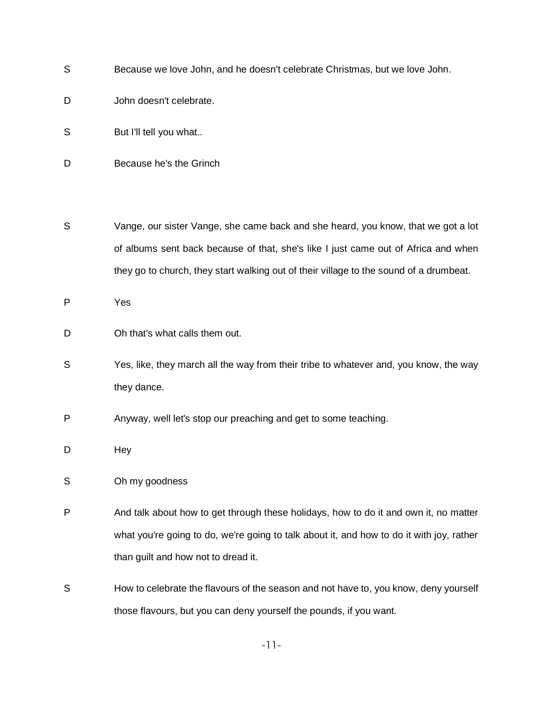- S Because we love John, and he doesn't celebrate Christmas, but we love John.
- D John doesn't celebrate.
- S But I'll tell you what..
- D Because he's the Grinch
- S Vange, our sister Vange, she came back and she heard, you know, that we got a lot of albums sent back because of that, she's like I just came out of Africa and when they go to church, they start walking out of their village to the sound of a drumbeat.

P Yes

- D Oh that's what calls them out.
- S Yes, like, they march all the way from their tribe to whatever and, you know, the way they dance.
- P Anyway, well let's stop our preaching and get to some teaching.
- D Hey
- S Oh my goodness
- P And talk about how to get through these holidays, how to do it and own it, no matter what you're going to do, we're going to talk about it, and how to do it with joy, rather than guilt and how not to dread it.
- S How to celebrate the flavours of the season and not have to, you know, deny yourself those flavours, but you can deny yourself the pounds, if you want.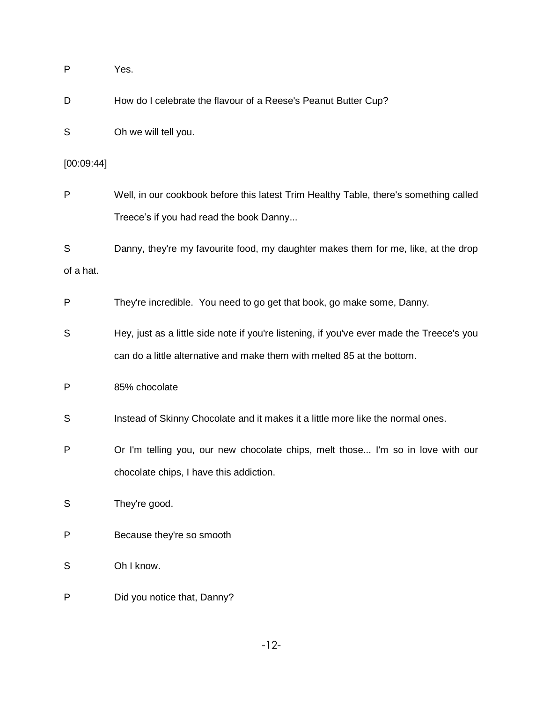| P          | Yes.                                                                                      |
|------------|-------------------------------------------------------------------------------------------|
| D          | How do I celebrate the flavour of a Reese's Peanut Butter Cup?                            |
| S          | Oh we will tell you.                                                                      |
| [00:09:44] |                                                                                           |
| P          | Well, in our cookbook before this latest Trim Healthy Table, there's something called     |
|            | Treece's if you had read the book Danny                                                   |
| S          | Danny, they're my favourite food, my daughter makes them for me, like, at the drop        |
| of a hat.  |                                                                                           |
| P          | They're incredible. You need to go get that book, go make some, Danny.                    |
| S          | Hey, just as a little side note if you're listening, if you've ever made the Treece's you |
|            | can do a little alternative and make them with melted 85 at the bottom.                   |
| P          | 85% chocolate                                                                             |
| S          | Instead of Skinny Chocolate and it makes it a little more like the normal ones.           |
| P          | Or I'm telling you, our new chocolate chips, melt those I'm so in love with our           |
|            | chocolate chips, I have this addiction.                                                   |
| S          | They're good.                                                                             |
| P          | Because they're so smooth                                                                 |
| S          | Oh I know.                                                                                |
| P          | Did you notice that, Danny?                                                               |

-12-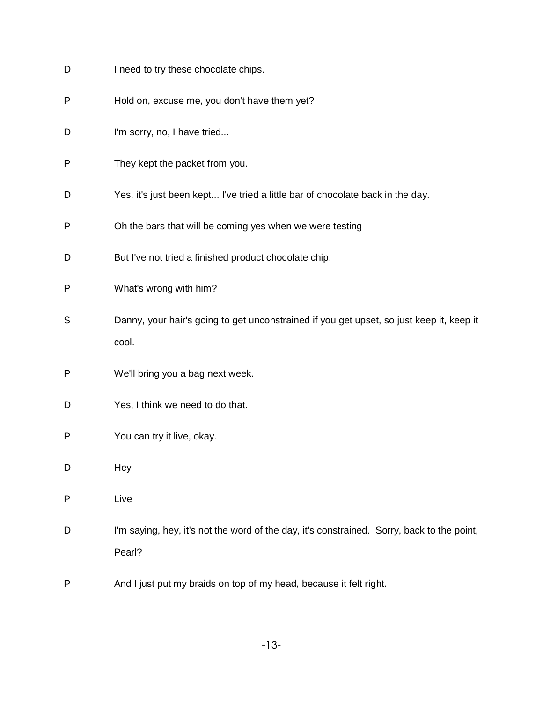- D I need to try these chocolate chips.
- P Hold on, excuse me, you don't have them yet?
- D I'm sorry, no, I have tried...
- P They kept the packet from you.
- D Yes, it's just been kept... I've tried a little bar of chocolate back in the day.
- P Oh the bars that will be coming yes when we were testing
- D But I've not tried a finished product chocolate chip.
- P What's wrong with him?
- S Danny, your hair's going to get unconstrained if you get upset, so just keep it, keep it cool.
- P We'll bring you a bag next week.
- D Yes, I think we need to do that.
- P You can try it live, okay.
- D Hey
- P Live
- D I'm saying, hey, it's not the word of the day, it's constrained. Sorry, back to the point, Pearl?
- P And I just put my braids on top of my head, because it felt right.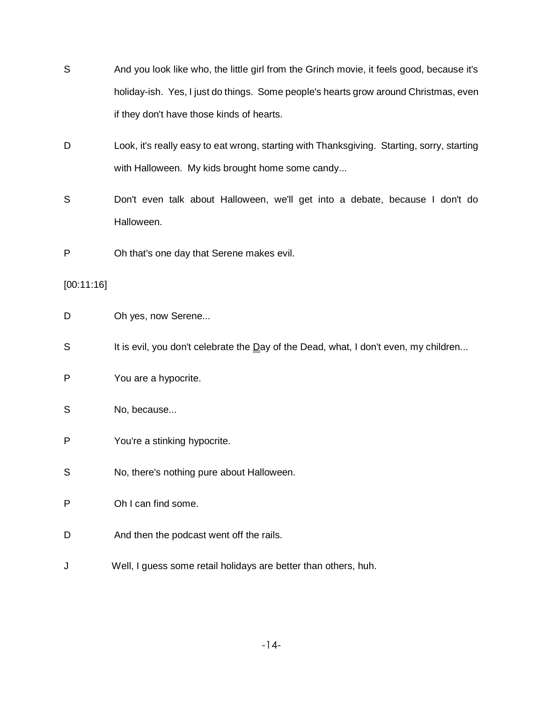- S And you look like who, the little girl from the Grinch movie, it feels good, because it's holiday-ish. Yes, I just do things. Some people's hearts grow around Christmas, even if they don't have those kinds of hearts.
- D Look, it's really easy to eat wrong, starting with Thanksgiving. Starting, sorry, starting with Halloween. My kids brought home some candy...
- S Don't even talk about Halloween, we'll get into a debate, because I don't do Halloween.
- P Oh that's one day that Serene makes evil.

[00:11:16]

- D Oh yes, now Serene...
- S It is evil, you don't celebrate the Day of the Dead, what, I don't even, my children...
- P You are a hypocrite.
- S No, because...
- P You're a stinking hypocrite.
- S No, there's nothing pure about Halloween.
- P Oh I can find some.
- D And then the podcast went off the rails.
- J Well, I guess some retail holidays are better than others, huh.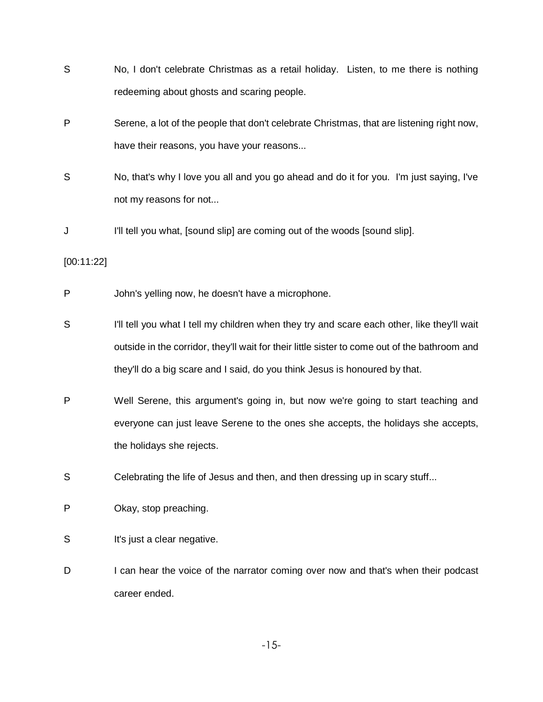- S No, I don't celebrate Christmas as a retail holiday. Listen, to me there is nothing redeeming about ghosts and scaring people. P Serene, a lot of the people that don't celebrate Christmas, that are listening right now, have their reasons, you have your reasons...
- S No, that's why I love you all and you go ahead and do it for you. I'm just saying, I've not my reasons for not...
- J I'll tell you what, [sound slip] are coming out of the woods [sound slip].

[00:11:22]

- P John's yelling now, he doesn't have a microphone.
- S I'll tell you what I tell my children when they try and scare each other, like they'll wait outside in the corridor, they'll wait for their little sister to come out of the bathroom and they'll do a big scare and I said, do you think Jesus is honoured by that.
- P Well Serene, this argument's going in, but now we're going to start teaching and everyone can just leave Serene to the ones she accepts, the holidays she accepts, the holidays she rejects.
- S Celebrating the life of Jesus and then, and then dressing up in scary stuff...
- P Okay, stop preaching.
- S It's just a clear negative.
- D I can hear the voice of the narrator coming over now and that's when their podcast career ended.

-15-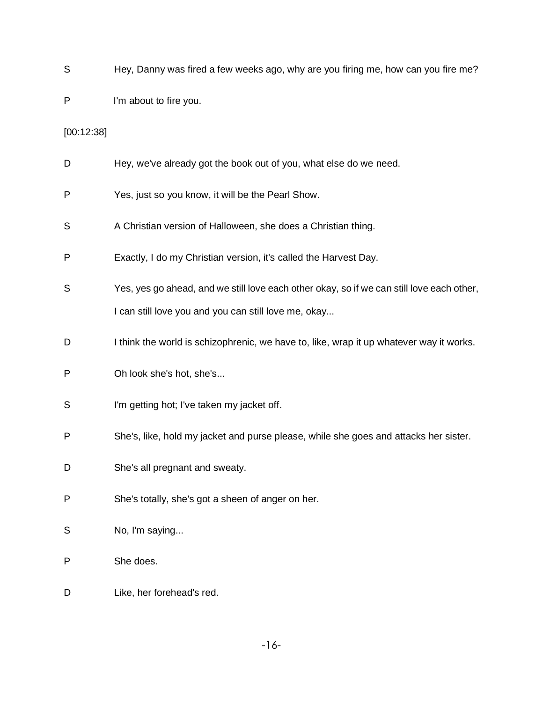- S Hey, Danny was fired a few weeks ago, why are you firing me, how can you fire me?
- P I'm about to fire you.

[00:12:38]

D Hey, we've already got the book out of you, what else do we need. P Yes, just so you know, it will be the Pearl Show.

- S A Christian version of Halloween, she does a Christian thing.
- P Exactly, I do my Christian version, it's called the Harvest Day.
- S Yes, yes go ahead, and we still love each other okay, so if we can still love each other, I can still love you and you can still love me, okay...
- D I think the world is schizophrenic, we have to, like, wrap it up whatever way it works.
- P Oh look she's hot, she's...
- S I'm getting hot; I've taken my jacket off.
- P She's, like, hold my jacket and purse please, while she goes and attacks her sister.
- D She's all pregnant and sweaty.
- P She's totally, she's got a sheen of anger on her.
- S No, I'm saying...
- P She does.
- D Like, her forehead's red.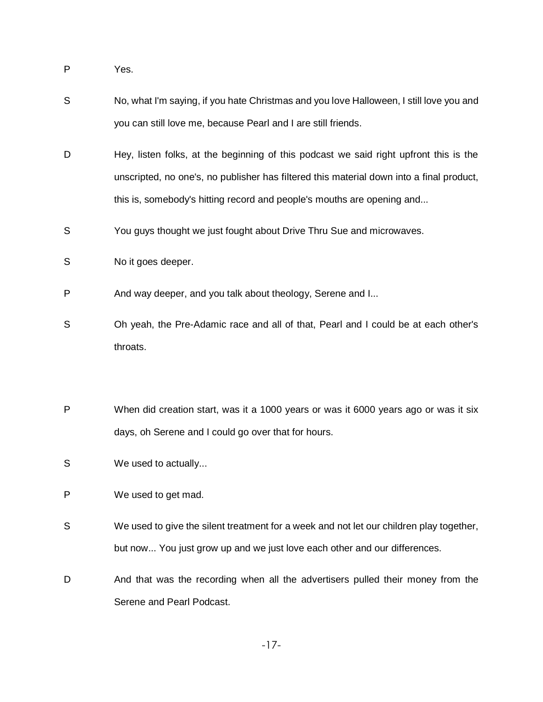P Yes.

- S No, what I'm saying, if you hate Christmas and you love Halloween, I still love you and you can still love me, because Pearl and I are still friends.
- D Hey, listen folks, at the beginning of this podcast we said right upfront this is the unscripted, no one's, no publisher has filtered this material down into a final product, this is, somebody's hitting record and people's mouths are opening and...
- S You guys thought we just fought about Drive Thru Sue and microwaves.
- S No it goes deeper.
- P And way deeper, and you talk about theology, Serene and I...
- S Oh yeah, the Pre-Adamic race and all of that, Pearl and I could be at each other's throats.
- P When did creation start, was it a 1000 years or was it 6000 years ago or was it six days, oh Serene and I could go over that for hours.
- S We used to actually...
- P We used to get mad.
- S We used to give the silent treatment for a week and not let our children play together, but now... You just grow up and we just love each other and our differences.
- D And that was the recording when all the advertisers pulled their money from the Serene and Pearl Podcast.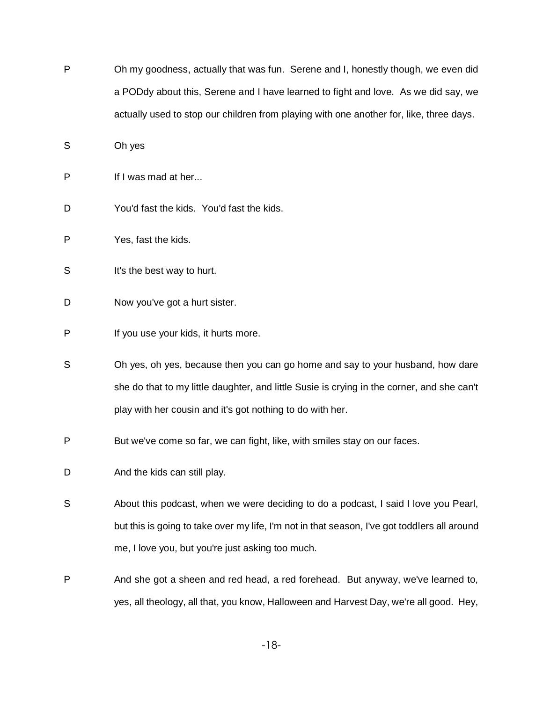P Oh my goodness, actually that was fun. Serene and I, honestly though, we even did a PODdy about this, Serene and I have learned to fight and love. As we did say, we actually used to stop our children from playing with one another for, like, three days.

S Oh yes

- P If I was mad at her...
- D You'd fast the kids. You'd fast the kids.
- P Yes, fast the kids.
- S It's the best way to hurt.
- D Now you've got a hurt sister.
- P If you use your kids, it hurts more.
- S Oh yes, oh yes, because then you can go home and say to your husband, how dare she do that to my little daughter, and little Susie is crying in the corner, and she can't play with her cousin and it's got nothing to do with her.
- P But we've come so far, we can fight, like, with smiles stay on our faces.
- D And the kids can still play.
- S About this podcast, when we were deciding to do a podcast, I said I love you Pearl, but this is going to take over my life, I'm not in that season, I've got toddlers all around me, I love you, but you're just asking too much.
- P And she got a sheen and red head, a red forehead. But anyway, we've learned to, yes, all theology, all that, you know, Halloween and Harvest Day, we're all good. Hey,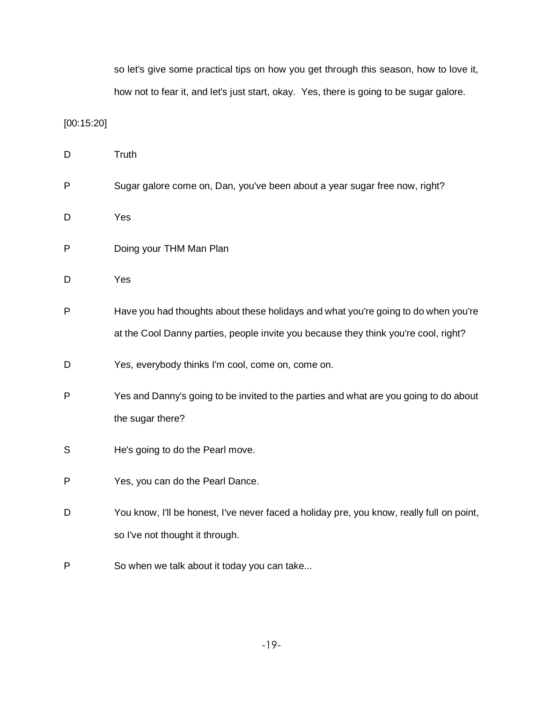so let's give some practical tips on how you get through this season, how to love it, how not to fear it, and let's just start, okay. Yes, there is going to be sugar galore.

[00:15:20]

| D            | Truth                                                                                     |
|--------------|-------------------------------------------------------------------------------------------|
| P            | Sugar galore come on, Dan, you've been about a year sugar free now, right?                |
| D            | Yes                                                                                       |
| P            | Doing your THM Man Plan                                                                   |
| D            | Yes                                                                                       |
| $\mathsf{P}$ | Have you had thoughts about these holidays and what you're going to do when you're        |
|              | at the Cool Danny parties, people invite you because they think you're cool, right?       |
| D            | Yes, everybody thinks I'm cool, come on, come on.                                         |
| $\mathsf{P}$ | Yes and Danny's going to be invited to the parties and what are you going to do about     |
|              | the sugar there?                                                                          |
| S            | He's going to do the Pearl move.                                                          |
| $\mathsf{P}$ | Yes, you can do the Pearl Dance.                                                          |
| D            | You know, I'll be honest, I've never faced a holiday pre, you know, really full on point, |
|              | so I've not thought it through.                                                           |
| P            | So when we talk about it today you can take                                               |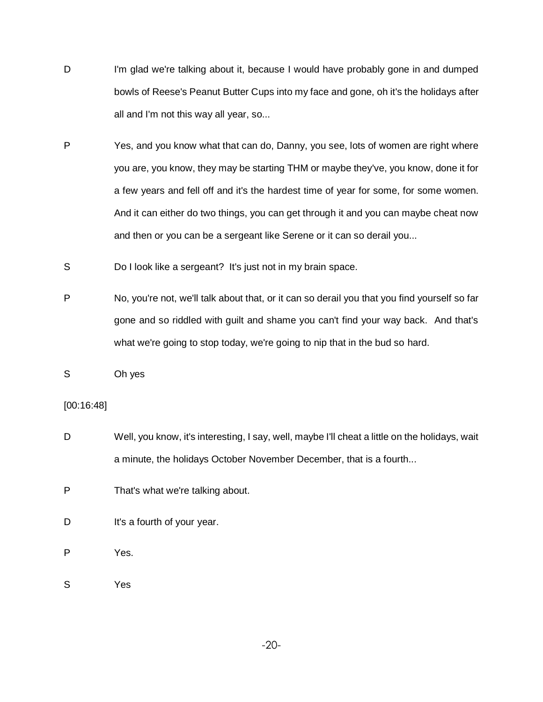- D I'm glad we're talking about it, because I would have probably gone in and dumped bowls of Reese's Peanut Butter Cups into my face and gone, oh it's the holidays after all and I'm not this way all year, so...
- P Yes, and you know what that can do, Danny, you see, lots of women are right where you are, you know, they may be starting THM or maybe they've, you know, done it for a few years and fell off and it's the hardest time of year for some, for some women. And it can either do two things, you can get through it and you can maybe cheat now and then or you can be a sergeant like Serene or it can so derail you...
- S Do I look like a sergeant? It's just not in my brain space.
- P No, you're not, we'll talk about that, or it can so derail you that you find yourself so far gone and so riddled with guilt and shame you can't find your way back. And that's what we're going to stop today, we're going to nip that in the bud so hard.
- S Oh yes

#### [00:16:48]

D Well, you know, it's interesting, I say, well, maybe I'll cheat a little on the holidays, wait a minute, the holidays October November December, that is a fourth...

P That's what we're talking about.

D It's a fourth of your year.

P Yes.

S Yes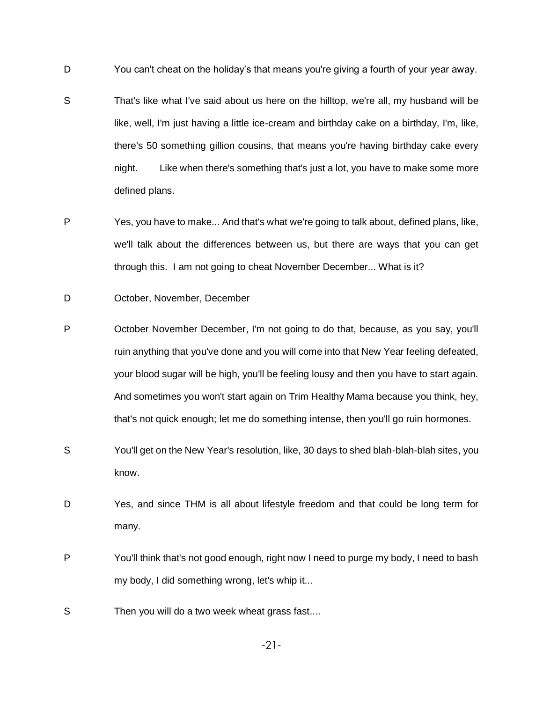- D You can't cheat on the holiday's that means you're giving a fourth of your year away.
- S That's like what I've said about us here on the hilltop, we're all, my husband will be like, well, I'm just having a little ice-cream and birthday cake on a birthday, I'm, like, there's 50 something gillion cousins, that means you're having birthday cake every night. Like when there's something that's just a lot, you have to make some more defined plans.
- P Yes, you have to make... And that's what we're going to talk about, defined plans, like, we'll talk about the differences between us, but there are ways that you can get through this. I am not going to cheat November December... What is it?
- D October, November, December
- P October November December, I'm not going to do that, because, as you say, you'll ruin anything that you've done and you will come into that New Year feeling defeated, your blood sugar will be high, you'll be feeling lousy and then you have to start again. And sometimes you won't start again on Trim Healthy Mama because you think, hey, that's not quick enough; let me do something intense, then you'll go ruin hormones.
- S You'll get on the New Year's resolution, like, 30 days to shed blah-blah-blah sites, you know.
- D Yes, and since THM is all about lifestyle freedom and that could be long term for many.
- P You'll think that's not good enough, right now I need to purge my body, I need to bash my body, I did something wrong, let's whip it...
- S Then you will do a two week wheat grass fast....

-21-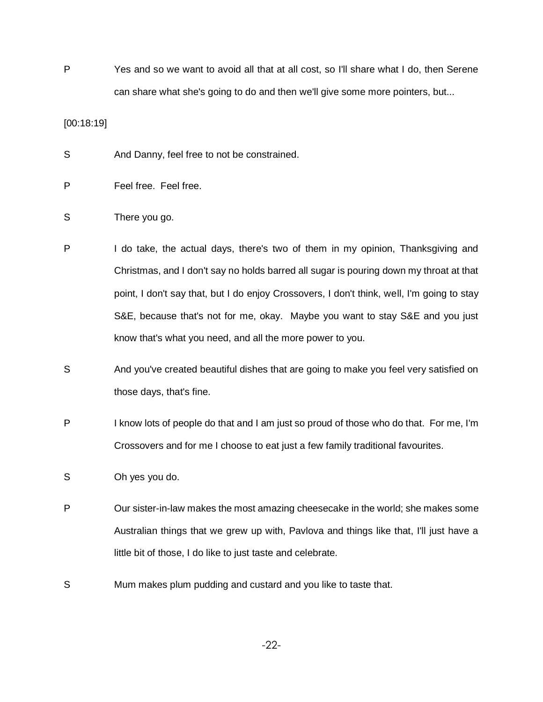P Yes and so we want to avoid all that at all cost, so I'll share what I do, then Serene can share what she's going to do and then we'll give some more pointers, but...

[00:18:19]

S And Danny, feel free to not be constrained.

- P Feel free. Feel free.
- S There you go.
- P I do take, the actual days, there's two of them in my opinion, Thanksgiving and Christmas, and I don't say no holds barred all sugar is pouring down my throat at that point, I don't say that, but I do enjoy Crossovers, I don't think, well, I'm going to stay S&E, because that's not for me, okay. Maybe you want to stay S&E and you just know that's what you need, and all the more power to you.
- S And you've created beautiful dishes that are going to make you feel very satisfied on those days, that's fine.
- P I know lots of people do that and I am just so proud of those who do that. For me, I'm Crossovers and for me I choose to eat just a few family traditional favourites.
- S Oh yes you do.
- P Our sister-in-law makes the most amazing cheesecake in the world; she makes some Australian things that we grew up with, Pavlova and things like that, I'll just have a little bit of those, I do like to just taste and celebrate.
- S Mum makes plum pudding and custard and you like to taste that.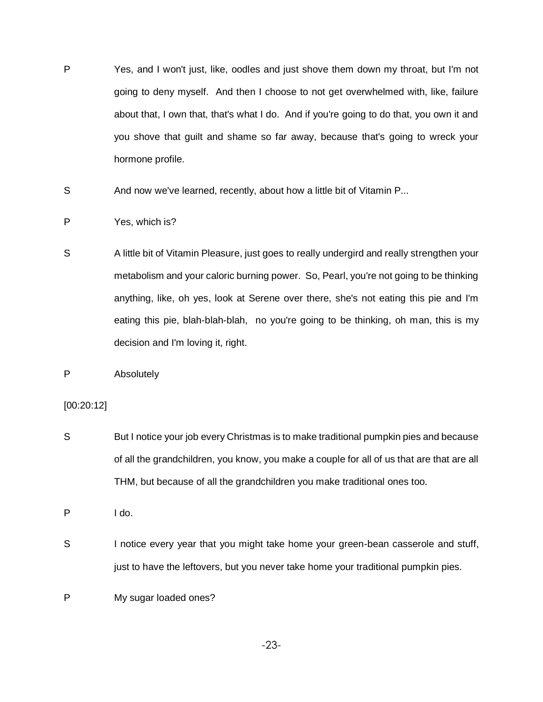- P Yes, and I won't just, like, oodles and just shove them down my throat, but I'm not going to deny myself. And then I choose to not get overwhelmed with, like, failure about that, I own that, that's what I do. And if you're going to do that, you own it and you shove that guilt and shame so far away, because that's going to wreck your hormone profile.
- S And now we've learned, recently, about how a little bit of Vitamin P...
- P Yes, which is?
- S A little bit of Vitamin Pleasure, just goes to really undergird and really strengthen your metabolism and your caloric burning power. So, Pearl, you're not going to be thinking anything, like, oh yes, look at Serene over there, she's not eating this pie and I'm eating this pie, blah-blah-blah, no you're going to be thinking, oh man, this is my decision and I'm loving it, right.
- P Absolutely

[00:20:12]

S But I notice your job every Christmas is to make traditional pumpkin pies and because of all the grandchildren, you know, you make a couple for all of us that are that are all THM, but because of all the grandchildren you make traditional ones too.

P I do.

- S Inotice every year that you might take home your green-bean casserole and stuff, just to have the leftovers, but you never take home your traditional pumpkin pies.
- P My sugar loaded ones?

-23-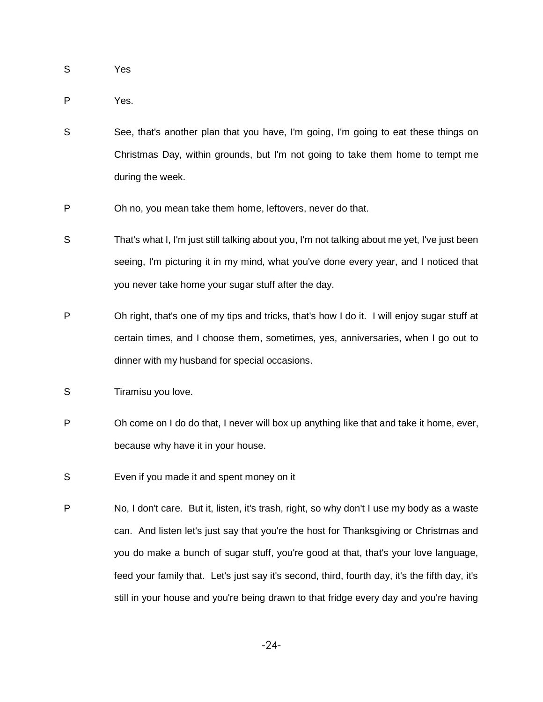- S Yes
- P Yes.
- S See, that's another plan that you have, I'm going, I'm going to eat these things on Christmas Day, within grounds, but I'm not going to take them home to tempt me during the week.
- P Oh no, you mean take them home, leftovers, never do that.
- S That's what I, I'm just still talking about you, I'm not talking about me yet, I've just been seeing, I'm picturing it in my mind, what you've done every year, and I noticed that you never take home your sugar stuff after the day.
- P Oh right, that's one of my tips and tricks, that's how I do it. I will enjoy sugar stuff at certain times, and I choose them, sometimes, yes, anniversaries, when I go out to dinner with my husband for special occasions.
- S Tiramisu you love.
- P Oh come on I do do that, I never will box up anything like that and take it home, ever, because why have it in your house.
- S Even if you made it and spent money on it
- P No, I don't care. But it, listen, it's trash, right, so why don't I use my body as a waste can. And listen let's just say that you're the host for Thanksgiving or Christmas and you do make a bunch of sugar stuff, you're good at that, that's your love language, feed your family that. Let's just say it's second, third, fourth day, it's the fifth day, it's still in your house and you're being drawn to that fridge every day and you're having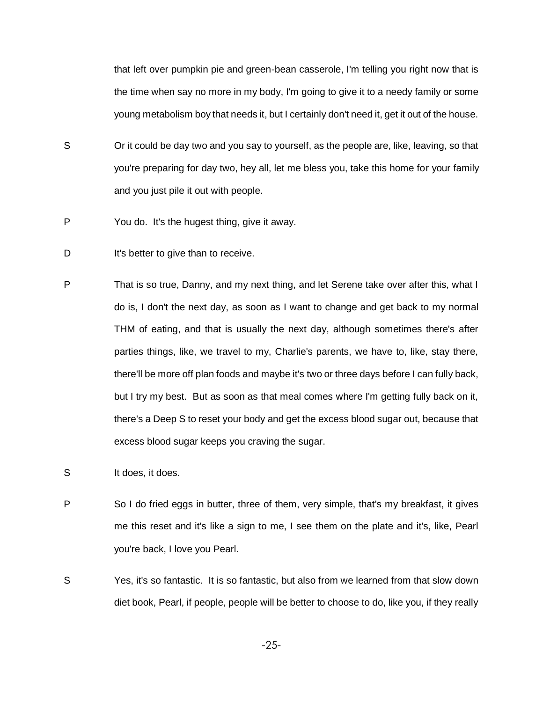that left over pumpkin pie and green-bean casserole, I'm telling you right now that is the time when say no more in my body, I'm going to give it to a needy family or some young metabolism boy that needs it, but I certainly don't need it, get it out of the house.

- S S Crit could be day two and you say to yourself, as the people are, like, leaving, so that you're preparing for day two, hey all, let me bless you, take this home for your family and you just pile it out with people.
- P You do. It's the hugest thing, give it away.
- D It's better to give than to receive.
- P That is so true, Danny, and my next thing, and let Serene take over after this, what I do is, I don't the next day, as soon as I want to change and get back to my normal THM of eating, and that is usually the next day, although sometimes there's after parties things, like, we travel to my, Charlie's parents, we have to, like, stay there, there'll be more off plan foods and maybe it's two or three days before I can fully back, but I try my best. But as soon as that meal comes where I'm getting fully back on it, there's a Deep S to reset your body and get the excess blood sugar out, because that excess blood sugar keeps you craving the sugar.
- S It does, it does.
- P So I do fried eggs in butter, three of them, very simple, that's my breakfast, it gives me this reset and it's like a sign to me, I see them on the plate and it's, like, Pearl you're back, I love you Pearl.
- S Yes, it's so fantastic. It is so fantastic, but also from we learned from that slow down diet book, Pearl, if people, people will be better to choose to do, like you, if they really

-25-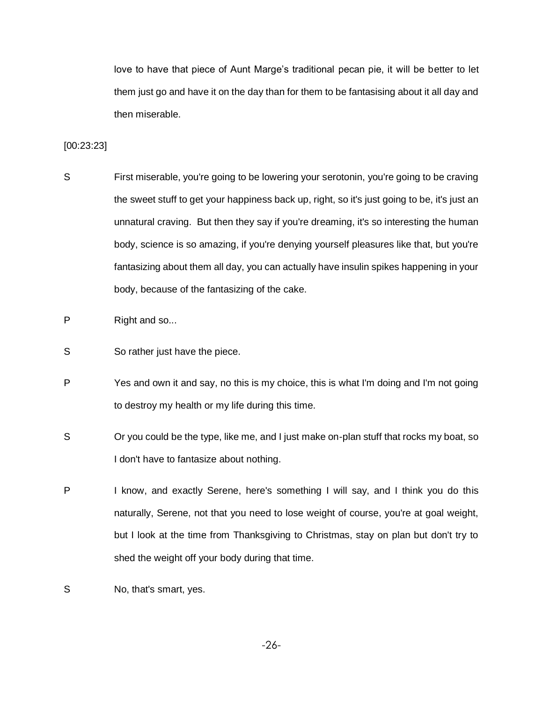love to have that piece of Aunt Marge's traditional pecan pie, it will be better to let them just go and have it on the day than for them to be fantasising about it all day and then miserable.

#### [00:23:23]

- S First miserable, you're going to be lowering your serotonin, you're going to be craving the sweet stuff to get your happiness back up, right, so it's just going to be, it's just an unnatural craving. But then they say if you're dreaming, it's so interesting the human body, science is so amazing, if you're denying yourself pleasures like that, but you're fantasizing about them all day, you can actually have insulin spikes happening in your body, because of the fantasizing of the cake.
- P Right and so...
- S So rather just have the piece.
- P Yes and own it and say, no this is my choice, this is what I'm doing and I'm not going to destroy my health or my life during this time.
- S S Cryou could be the type, like me, and I just make on-plan stuff that rocks my boat, so I don't have to fantasize about nothing.
- P I know, and exactly Serene, here's something I will say, and I think you do this naturally, Serene, not that you need to lose weight of course, you're at goal weight, but I look at the time from Thanksgiving to Christmas, stay on plan but don't try to shed the weight off your body during that time.
- S No, that's smart, yes.

-26-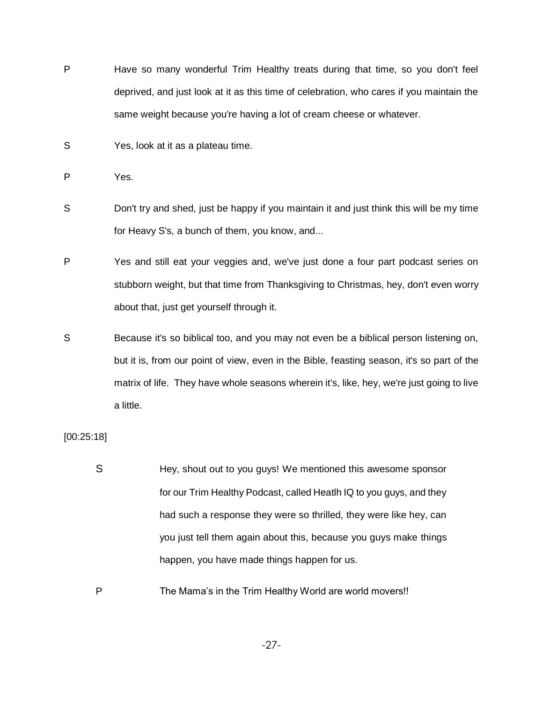- P Have so many wonderful Trim Healthy treats during that time, so you don't feel deprived, and just look at it as this time of celebration, who cares if you maintain the same weight because you're having a lot of cream cheese or whatever.
- S Yes, look at it as a plateau time.

- S Don't try and shed, just be happy if you maintain it and just think this will be my time for Heavy S's, a bunch of them, you know, and...
- P Yes and still eat your veggies and, we've just done a four part podcast series on stubborn weight, but that time from Thanksgiving to Christmas, hey, don't even worry about that, just get yourself through it.
- S Because it's so biblical too, and you may not even be a biblical person listening on, but it is, from our point of view, even in the Bible, feasting season, it's so part of the matrix of life. They have whole seasons wherein it's, like, hey, we're just going to live a little.

[00:25:18]

- S Hey, shout out to you guys! We mentioned this awesome sponsor for our Trim Healthy Podcast, called Heatlh IQ to you guys, and they had such a response they were so thrilled, they were like hey, can you just tell them again about this, because you guys make things happen, you have made things happen for us.
- P The Mama's in the Trim Healthy World are world movers!!

P Yes.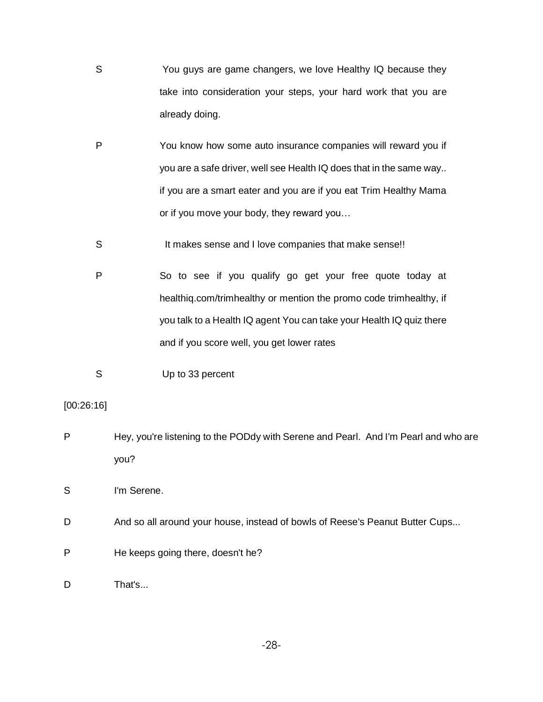- S You guys are game changers, we love Healthy IQ because they take into consideration your steps, your hard work that you are already doing.
- P You know how some auto insurance companies will reward you if you are a safe driver, well see Health IQ does that in the same way.. if you are a smart eater and you are if you eat Trim Healthy Mama or if you move your body, they reward you…
- S It makes sense and I love companies that make sense!!
- P So to see if you qualify go get your free quote today at healthiq.com/trimhealthy or mention the promo code trimhealthy, if you talk to a Health IQ agent You can take your Health IQ quiz there and if you score well, you get lower rates
- S Up to 33 percent

# [00:26:16]

P Hey, you're listening to the PODdy with Serene and Pearl. And I'm Pearl and who are you?

S I'm Serene.

- D And so all around your house, instead of bowls of Reese's Peanut Butter Cups...
- P He keeps going there, doesn't he?

D That's...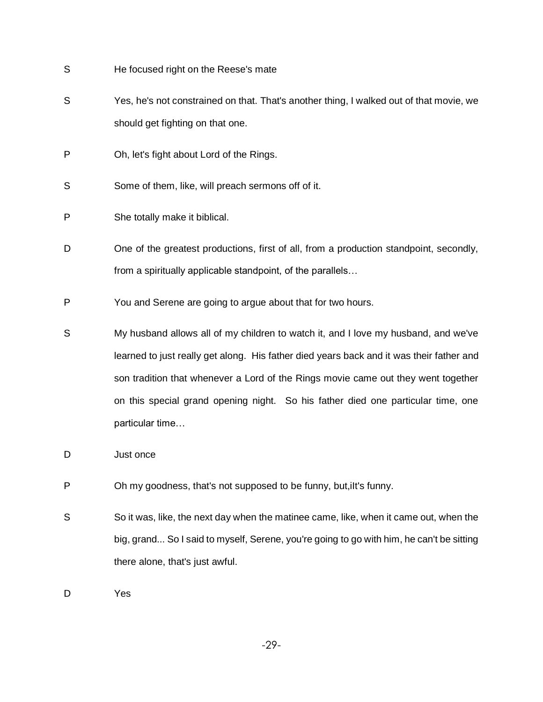| He focused right on the Reese's mate                                                     |
|------------------------------------------------------------------------------------------|
| Yes, he's not constrained on that. That's another thing, I walked out of that movie, we  |
| should get fighting on that one.                                                         |
| Oh, let's fight about Lord of the Rings.                                                 |
| Some of them, like, will preach sermons off of it.                                       |
| She totally make it biblical.                                                            |
| One of the greatest productions, first of all, from a production standpoint, secondly,   |
| from a spiritually applicable standpoint, of the parallels                               |
| You and Serene are going to argue about that for two hours.                              |
| My husband allows all of my children to watch it, and I love my husband, and we've       |
| learned to just really get along. His father died years back and it was their father and |
| son tradition that whenever a Lord of the Rings movie came out they went together        |
| on this special grand opening night. So his father died one particular time, one         |
| particular time                                                                          |
|                                                                                          |

- D Just once
- P Oh my goodness, that's not supposed to be funny, but, ilt's funny.
- S So it was, like, the next day when the matinee came, like, when it came out, when the big, grand... So I said to myself, Serene, you're going to go with him, he can't be sitting there alone, that's just awful.

D Yes

-29-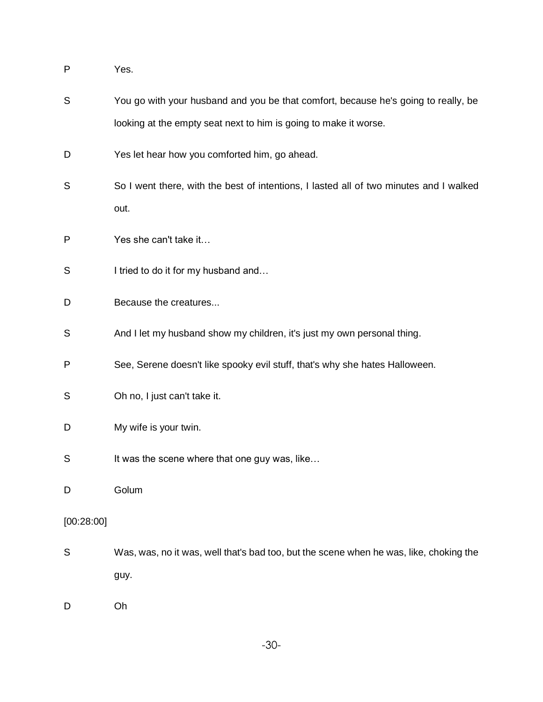P Yes.

S You go with your husband and you be that comfort, because he's going to really, be looking at the empty seat next to him is going to make it worse. D Yes let hear how you comforted him, go ahead. S So I went there, with the best of intentions, I lasted all of two minutes and I walked out. P Yes she can't take it… S I tried to do it for my husband and... D Because the creatures... S And I let my husband show my children, it's just my own personal thing. P See, Serene doesn't like spooky evil stuff, that's why she hates Halloween. S Oh no, I just can't take it. D My wife is your twin. S It was the scene where that one guy was, like... D Golum [00:28:00] S Was, was, no it was, well that's bad too, but the scene when he was, like, choking the guy. D Oh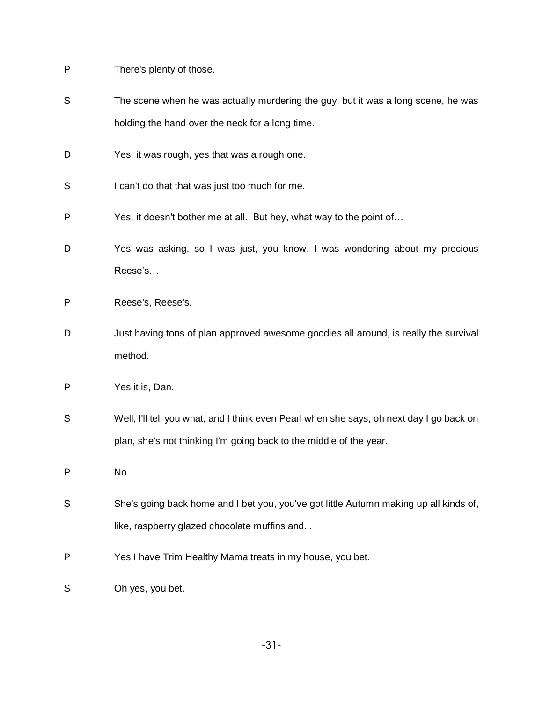P There's plenty of those.

| The scene when he was actually murdering the guy, but it was a long scene, he was |
|-----------------------------------------------------------------------------------|
| holding the hand over the neck for a long time.                                   |

- D Yes, it was rough, yes that was a rough one.
- S I can't do that that was just too much for me.
- P Yes, it doesn't bother me at all. But hey, what way to the point of…
- D Yes was asking, so I was just, you know, I was wondering about my precious Reese's…
- P Reese's, Reese's.
- D Just having tons of plan approved awesome goodies all around, is really the survival method.
- P Yes it is, Dan.
- S Well, I'll tell you what, and I think even Pearl when she says, oh next day I go back on plan, she's not thinking I'm going back to the middle of the year.
- P No
- S She's going back home and I bet you, you've got little Autumn making up all kinds of, like, raspberry glazed chocolate muffins and...
- P Yes I have Trim Healthy Mama treats in my house, you bet.
- S Oh yes, you bet.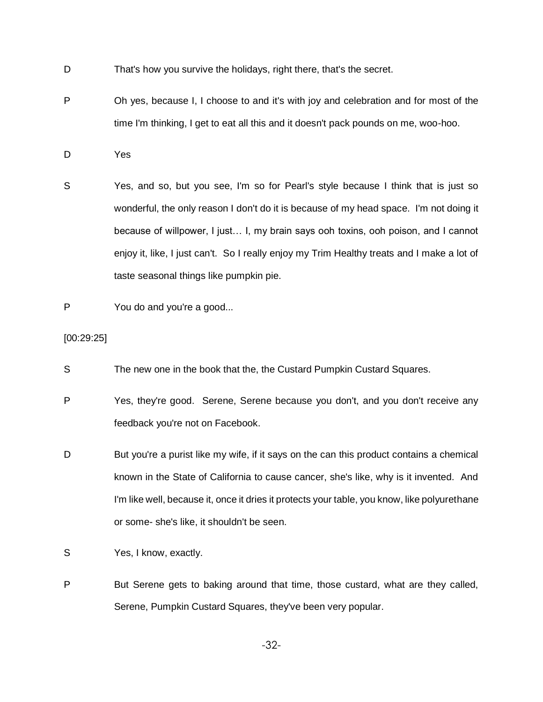- D That's how you survive the holidays, right there, that's the secret.
- P Oh yes, because I, I choose to and it's with joy and celebration and for most of the time I'm thinking, I get to eat all this and it doesn't pack pounds on me, woo-hoo.
- D Yes
- S Yes, and so, but you see, I'm so for Pearl's style because I think that is just so wonderful, the only reason I don't do it is because of my head space. I'm not doing it because of willpower, I just… I, my brain says ooh toxins, ooh poison, and I cannot enjoy it, like, I just can't. So I really enjoy my Trim Healthy treats and I make a lot of taste seasonal things like pumpkin pie.
- P You do and you're a good...

[00:29:25]

- S The new one in the book that the, the Custard Pumpkin Custard Squares.
- P Yes, they're good. Serene, Serene because you don't, and you don't receive any feedback you're not on Facebook.
- D But you're a purist like my wife, if it says on the can this product contains a chemical known in the State of California to cause cancer, she's like, why is it invented. And I'm like well, because it, once it dries it protects your table, you know, like polyurethane or some- she's like, it shouldn't be seen.
- S Yes, I know, exactly.
- P But Serene gets to baking around that time, those custard, what are they called, Serene, Pumpkin Custard Squares, they've been very popular.

-32-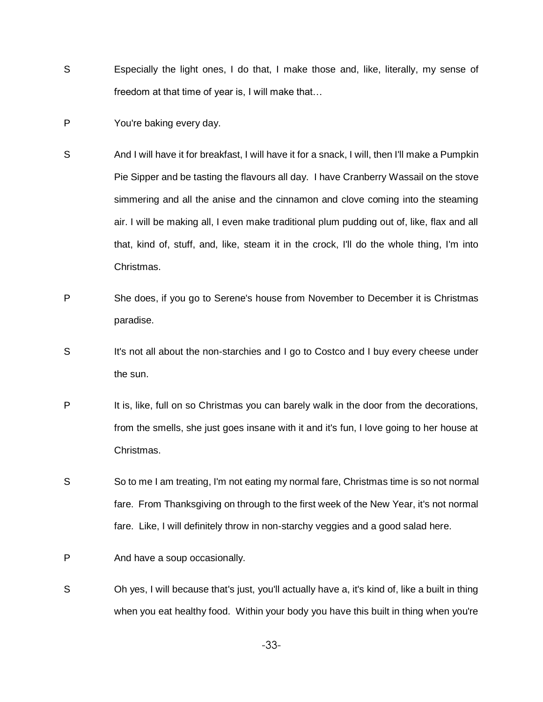- S Especially the light ones, I do that, I make those and, like, literally, my sense of freedom at that time of year is, I will make that…
- P You're baking every day.
- S And I will have it for breakfast, I will have it for a snack, I will, then I'll make a Pumpkin Pie Sipper and be tasting the flavours all day. I have Cranberry Wassail on the stove simmering and all the anise and the cinnamon and clove coming into the steaming air. I will be making all, I even make traditional plum pudding out of, like, flax and all that, kind of, stuff, and, like, steam it in the crock, I'll do the whole thing, I'm into Christmas.
- P She does, if you go to Serene's house from November to December it is Christmas paradise.
- S It's not all about the non-starchies and I go to Costco and I buy every cheese under the sun.
- P It is, like, full on so Christmas you can barely walk in the door from the decorations, from the smells, she just goes insane with it and it's fun, I love going to her house at Christmas.
- S So to me I am treating, I'm not eating my normal fare, Christmas time is so not normal fare. From Thanksgiving on through to the first week of the New Year, it's not normal fare. Like, I will definitely throw in non-starchy veggies and a good salad here.
- P And have a soup occasionally.
- S Oh yes, I will because that's just, you'll actually have a, it's kind of, like a built in thing when you eat healthy food. Within your body you have this built in thing when you're

-33-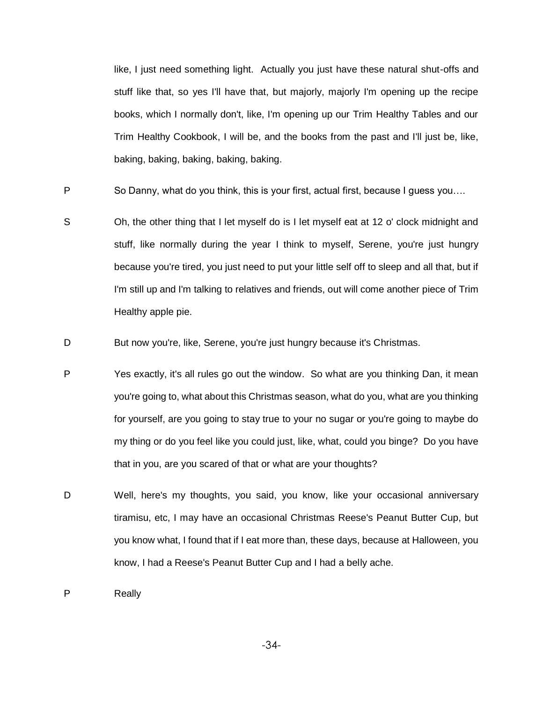like, I just need something light. Actually you just have these natural shut-offs and stuff like that, so yes I'll have that, but majorly, majorly I'm opening up the recipe books, which I normally don't, like, I'm opening up our Trim Healthy Tables and our Trim Healthy Cookbook, I will be, and the books from the past and I'll just be, like, baking, baking, baking, baking, baking.

P So Danny, what do you think, this is your first, actual first, because I guess you...

S Oh, the other thing that I let myself do is I let myself eat at 12 o' clock midnight and stuff, like normally during the year I think to myself, Serene, you're just hungry because you're tired, you just need to put your little self off to sleep and all that, but if I'm still up and I'm talking to relatives and friends, out will come another piece of Trim Healthy apple pie.

D But now you're, like, Serene, you're just hungry because it's Christmas.

- P Yes exactly, it's all rules go out the window. So what are you thinking Dan, it mean you're going to, what about this Christmas season, what do you, what are you thinking for yourself, are you going to stay true to your no sugar or you're going to maybe do my thing or do you feel like you could just, like, what, could you binge? Do you have that in you, are you scared of that or what are your thoughts?
- D Well, here's my thoughts, you said, you know, like your occasional anniversary tiramisu, etc, I may have an occasional Christmas Reese's Peanut Butter Cup, but you know what, I found that if I eat more than, these days, because at Halloween, you know, I had a Reese's Peanut Butter Cup and I had a belly ache.

P Really

-34-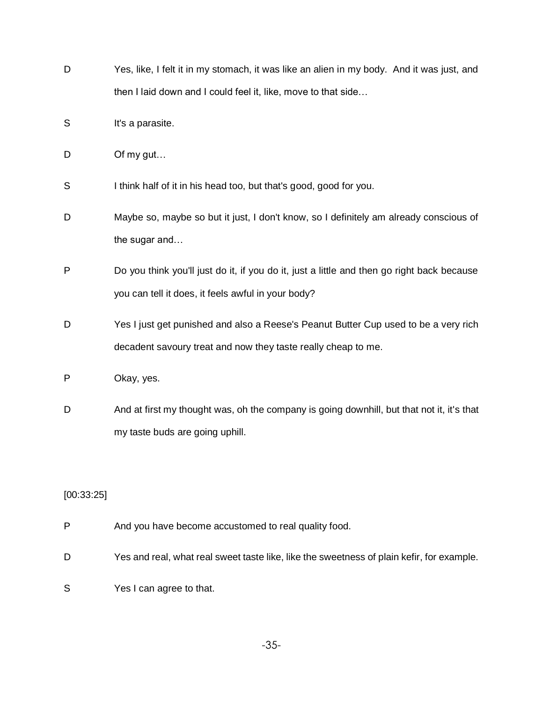| D | Yes, like, I felt it in my stomach, it was like an alien in my body. And it was just, and  |
|---|--------------------------------------------------------------------------------------------|
|   | then I laid down and I could feel it, like, move to that side                              |
| S | It's a parasite.                                                                           |
| D | Of my gut                                                                                  |
| S | I think half of it in his head too, but that's good, good for you.                         |
| D | Maybe so, maybe so but it just, I don't know, so I definitely am already conscious of      |
|   | the sugar and                                                                              |
| P | Do you think you'll just do it, if you do it, just a little and then go right back because |
|   | you can tell it does, it feels awful in your body?                                         |
| D | Yes I just get punished and also a Reese's Peanut Butter Cup used to be a very rich        |
|   | decadent savoury treat and now they taste really cheap to me.                              |
| P | Okay, yes.                                                                                 |
| D | And at first my thought was, oh the company is going downhill, but that not it, it's that  |
|   | my taste buds are going uphill.                                                            |

# [00:33:25]

- P And you have become accustomed to real quality food.
- D Yes and real, what real sweet taste like, like the sweetness of plain kefir, for example.
- S Yes I can agree to that.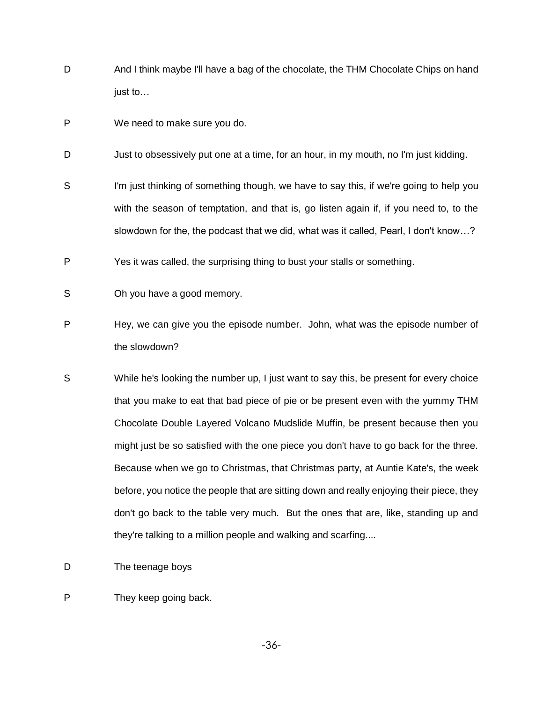- D And I think maybe I'll have a bag of the chocolate, the THM Chocolate Chips on hand just to…
- P We need to make sure you do.
- D Just to obsessively put one at a time, for an hour, in my mouth, no I'm just kidding.
- S I'm just thinking of something though, we have to say this, if we're going to help you with the season of temptation, and that is, go listen again if, if you need to, to the slowdown for the, the podcast that we did, what was it called, Pearl, I don't know…?
- P Yes it was called, the surprising thing to bust your stalls or something.
- S Oh you have a good memory.
- P Hey, we can give you the episode number. John, what was the episode number of the slowdown?
- S While he's looking the number up, I just want to say this, be present for every choice that you make to eat that bad piece of pie or be present even with the yummy THM Chocolate Double Layered Volcano Mudslide Muffin, be present because then you might just be so satisfied with the one piece you don't have to go back for the three. Because when we go to Christmas, that Christmas party, at Auntie Kate's, the week before, you notice the people that are sitting down and really enjoying their piece, they don't go back to the table very much. But the ones that are, like, standing up and they're talking to a million people and walking and scarfing....
- D The teenage boys
- P They keep going back.

-36-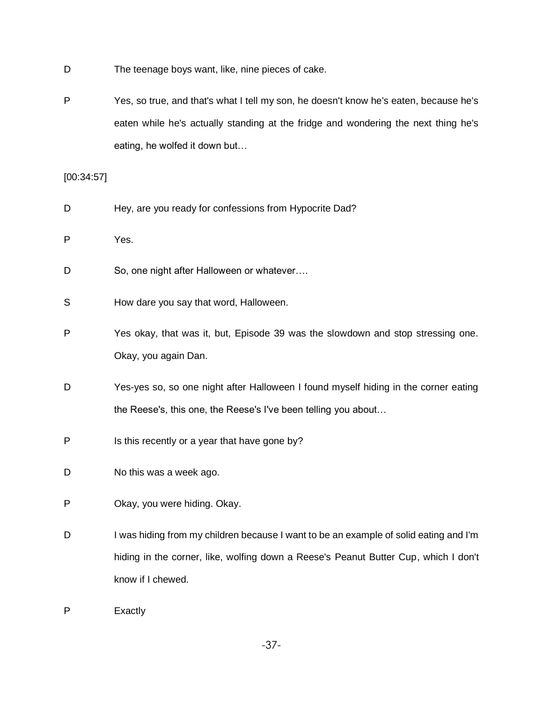- D The teenage boys want, like, nine pieces of cake.
- P Yes, so true, and that's what I tell my son, he doesn't know he's eaten, because he's eaten while he's actually standing at the fridge and wondering the next thing he's eating, he wolfed it down but…

[00:34:57]

- D Hey, are you ready for confessions from Hypocrite Dad?
- P Yes.
- D So, one night after Halloween or whatever....
- S How dare you say that word, Halloween.
- P Yes okay, that was it, but, Episode 39 was the slowdown and stop stressing one. Okay, you again Dan.
- D Yes-yes so, so one night after Halloween I found myself hiding in the corner eating the Reese's, this one, the Reese's I've been telling you about…
- P Is this recently or a year that have gone by?
- D No this was a week ago.
- P Okay, you were hiding. Okay.
- D I was hiding from my children because I want to be an example of solid eating and I'm hiding in the corner, like, wolfing down a Reese's Peanut Butter Cup, which I don't know if I chewed.
- P Exactly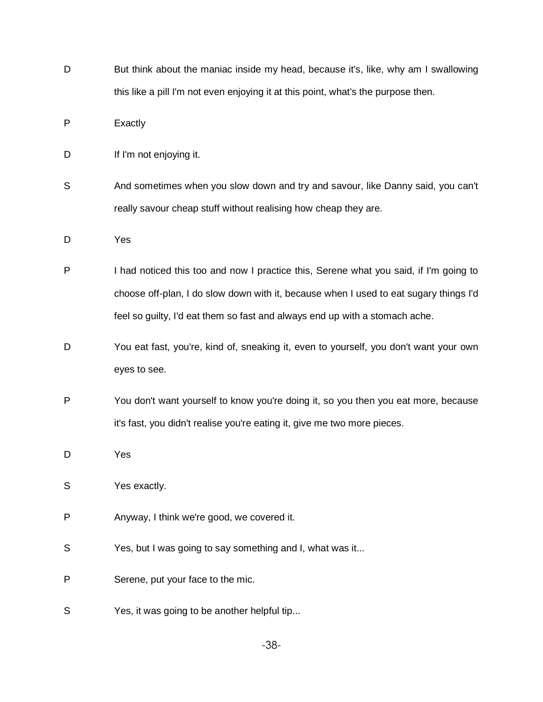D But think about the maniac inside my head, because it's, like, why am I swallowing this like a pill I'm not even enjoying it at this point, what's the purpose then.

P Exactly

- D If I'm not enjoying it.
- S And sometimes when you slow down and try and savour, like Danny said, you can't really savour cheap stuff without realising how cheap they are.

D Yes

- P I had noticed this too and now I practice this, Serene what you said, if I'm going to choose off-plan, I do slow down with it, because when I used to eat sugary things I'd feel so guilty, I'd eat them so fast and always end up with a stomach ache.
- D You eat fast, you're, kind of, sneaking it, even to yourself, you don't want your own eyes to see.
- P You don't want yourself to know you're doing it, so you then you eat more, because it's fast, you didn't realise you're eating it, give me two more pieces.
- D Yes

S Yes exactly.

- P Anyway, I think we're good, we covered it.
- S Yes, but I was going to say something and I, what was it...
- P Serene, put your face to the mic.
- S Yes, it was going to be another helpful tip...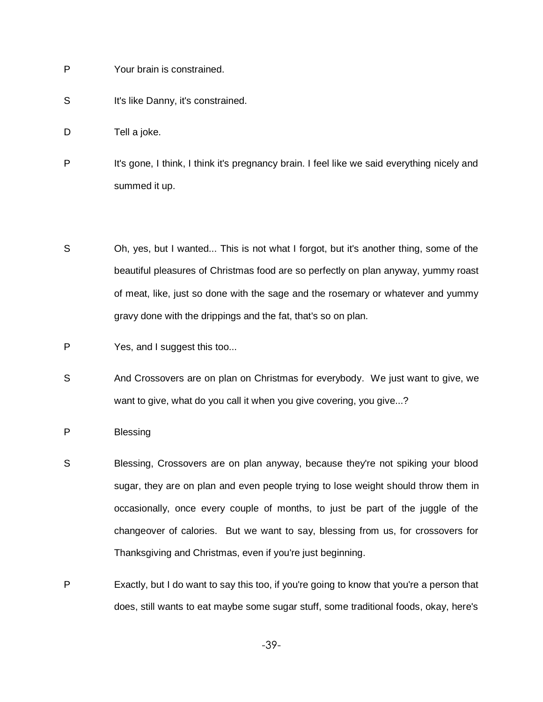- P Your brain is constrained.
- S It's like Danny, it's constrained.
- D Tell a joke.
- P It's gone, I think, I think it's pregnancy brain. I feel like we said everything nicely and summed it up.
- S Oh, yes, but I wanted... This is not what I forgot, but it's another thing, some of the beautiful pleasures of Christmas food are so perfectly on plan anyway, yummy roast of meat, like, just so done with the sage and the rosemary or whatever and yummy gravy done with the drippings and the fat, that's so on plan.
- P Yes, and I suggest this too...
- S And Crossovers are on plan on Christmas for everybody. We just want to give, we want to give, what do you call it when you give covering, you give...?
- P Blessing
- S Blessing, Crossovers are on plan anyway, because they're not spiking your blood sugar, they are on plan and even people trying to lose weight should throw them in occasionally, once every couple of months, to just be part of the juggle of the changeover of calories. But we want to say, blessing from us, for crossovers for Thanksgiving and Christmas, even if you're just beginning.
- P Exactly, but I do want to say this too, if you're going to know that you're a person that does, still wants to eat maybe some sugar stuff, some traditional foods, okay, here's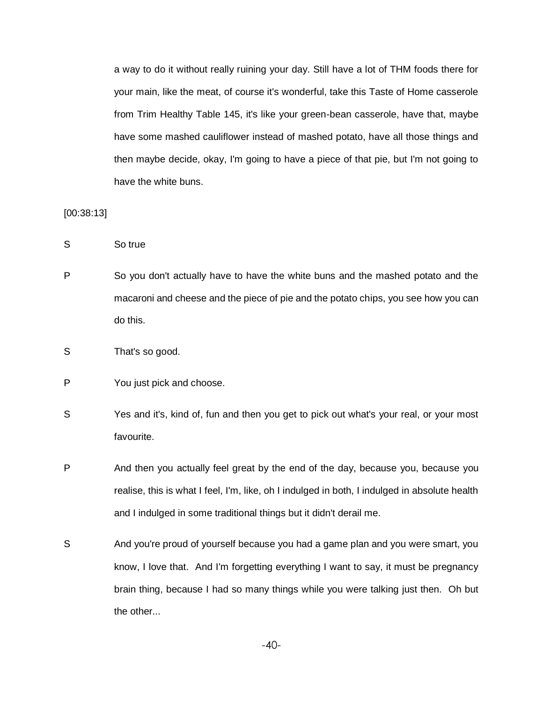a way to do it without really ruining your day. Still have a lot of THM foods there for your main, like the meat, of course it's wonderful, take this Taste of Home casserole from Trim Healthy Table 145, it's like your green-bean casserole, have that, maybe have some mashed cauliflower instead of mashed potato, have all those things and then maybe decide, okay, I'm going to have a piece of that pie, but I'm not going to have the white buns.

[00:38:13]

S So true

- P So you don't actually have to have the white buns and the mashed potato and the macaroni and cheese and the piece of pie and the potato chips, you see how you can do this.
- S That's so good.
- P You just pick and choose.
- S Yes and it's, kind of, fun and then you get to pick out what's your real, or your most favourite.
- P And then you actually feel great by the end of the day, because you, because you realise, this is what I feel, I'm, like, oh I indulged in both, I indulged in absolute health and I indulged in some traditional things but it didn't derail me.
- S And you're proud of yourself because you had a game plan and you were smart, you know, I love that. And I'm forgetting everything I want to say, it must be pregnancy brain thing, because I had so many things while you were talking just then. Oh but the other...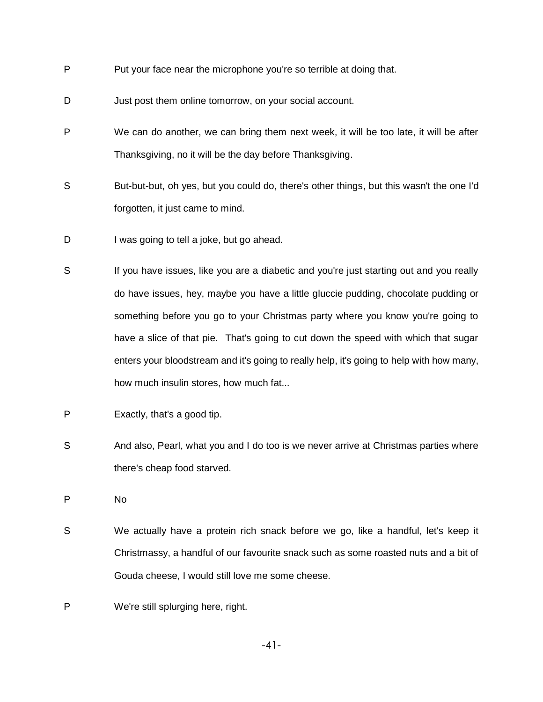- P Put your face near the microphone you're so terrible at doing that.
- D Just post them online tomorrow, on your social account.
- P We can do another, we can bring them next week, it will be too late, it will be after Thanksgiving, no it will be the day before Thanksgiving.
- S But-but-but, oh yes, but you could do, there's other things, but this wasn't the one I'd forgotten, it just came to mind.
- D I was going to tell a joke, but go ahead.
- S If you have issues, like you are a diabetic and you're just starting out and you really do have issues, hey, maybe you have a little gluccie pudding, chocolate pudding or something before you go to your Christmas party where you know you're going to have a slice of that pie. That's going to cut down the speed with which that sugar enters your bloodstream and it's going to really help, it's going to help with how many, how much insulin stores, how much fat...
- P Exactly, that's a good tip.
- S And also, Pearl, what you and I do too is we never arrive at Christmas parties where there's cheap food starved.

P No

- S We actually have a protein rich snack before we go, like a handful, let's keep it Christmassy, a handful of our favourite snack such as some roasted nuts and a bit of Gouda cheese, I would still love me some cheese.
- P We're still splurging here, right.

-41-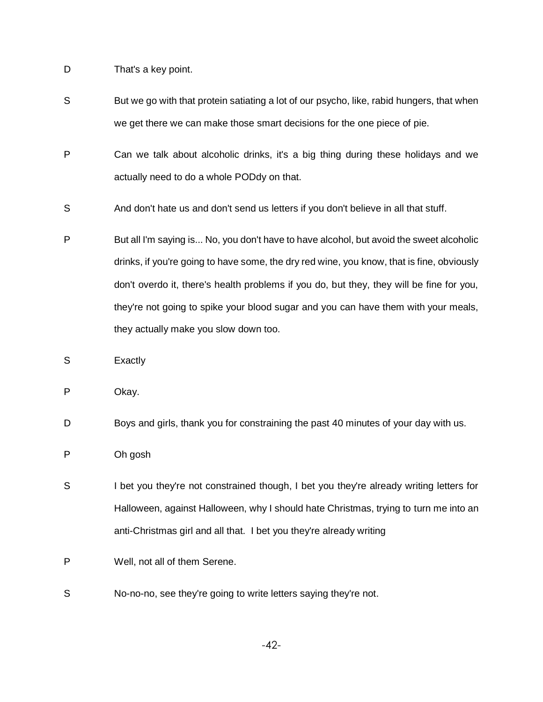D That's a key point.

- S But we go with that protein satiating a lot of our psycho, like, rabid hungers, that when we get there we can make those smart decisions for the one piece of pie.
- P Can we talk about alcoholic drinks, it's a big thing during these holidays and we actually need to do a whole PODdy on that.
- S And don't hate us and don't send us letters if you don't believe in all that stuff.
- P But all I'm saying is... No, you don't have to have alcohol, but avoid the sweet alcoholic drinks, if you're going to have some, the dry red wine, you know, that is fine, obviously don't overdo it, there's health problems if you do, but they, they will be fine for you, they're not going to spike your blood sugar and you can have them with your meals, they actually make you slow down too.
- S **Exactly**
- P Okay.
- D Boys and girls, thank you for constraining the past 40 minutes of your day with us.
- P Oh gosh
- S I bet you they're not constrained though, I bet you they're already writing letters for Halloween, against Halloween, why I should hate Christmas, trying to turn me into an anti-Christmas girl and all that. I bet you they're already writing
- P Well, not all of them Serene.
- S No-no-no, see they're going to write letters saying they're not.